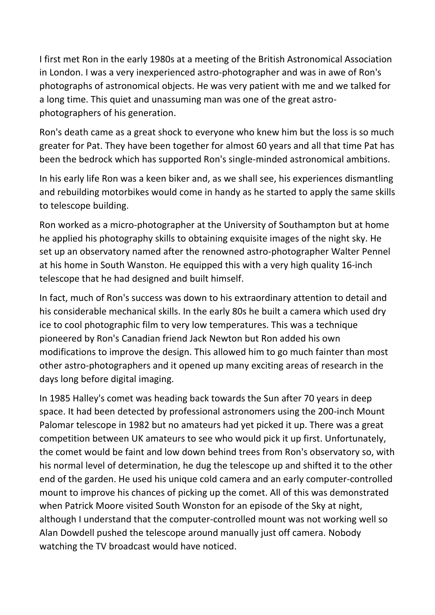I first met Ron in the early 1980s at a meeting of the British Astronomical Association in London. I was a very inexperienced astro-photographer and was in awe of Ron's photographs of astronomical objects. He was very patient with me and we talked for a long time. This quiet and unassuming man was one of the great astrophotographers of his generation.

Ron's death came as a great shock to everyone who knew him but the loss is so much greater for Pat. They have been together for almost 60 years and all that time Pat has been the bedrock which has supported Ron's single-minded astronomical ambitions.

In his early life Ron was a keen biker and, as we shall see, his experiences dismantling and rebuilding motorbikes would come in handy as he started to apply the same skills to telescope building.

Ron worked as a micro-photographer at the University of Southampton but at home he applied his photography skills to obtaining exquisite images of the night sky. He set up an observatory named after the renowned astro-photographer Walter Pennel at his home in South Wanston. He equipped this with a very high quality 16-inch telescope that he had designed and built himself.

In fact, much of Ron's success was down to his extraordinary attention to detail and his considerable mechanical skills. In the early 80s he built a camera which used dry ice to cool photographic film to very low temperatures. This was a technique pioneered by Ron's Canadian friend Jack Newton but Ron added his own modifications to improve the design. This allowed him to go much fainter than most other astro-photographers and it opened up many exciting areas of research in the days long before digital imaging.

In 1985 Halley's comet was heading back towards the Sun after 70 years in deep space. It had been detected by professional astronomers using the 200-inch Mount Palomar telescope in 1982 but no amateurs had yet picked it up. There was a great competition between UK amateurs to see who would pick it up first. Unfortunately, the comet would be faint and low down behind trees from Ron's observatory so, with his normal level of determination, he dug the telescope up and shifted it to the other end of the garden. He used his unique cold camera and an early computer-controlled mount to improve his chances of picking up the comet. All of this was demonstrated when Patrick Moore visited South Wonston for an episode of the Sky at night, although I understand that the computer-controlled mount was not working well so Alan Dowdell pushed the telescope around manually just off camera. Nobody watching the TV broadcast would have noticed.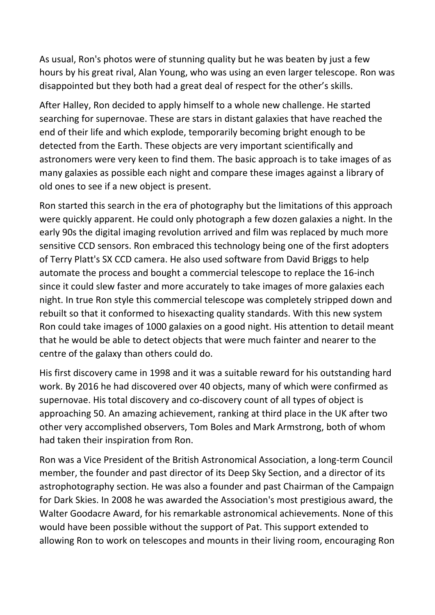As usual, Ron's photos were of stunning quality but he was beaten by just a few hours by his great rival, Alan Young, who was using an even larger telescope. Ron was disappointed but they both had a great deal of respect for the other's skills.

After Halley, Ron decided to apply himself to a whole new challenge. He started searching for supernovae. These are stars in distant galaxies that have reached the end of their life and which explode, temporarily becoming bright enough to be detected from the Earth. These objects are very important scientifically and astronomers were very keen to find them. The basic approach is to take images of as many galaxies as possible each night and compare these images against a library of old ones to see if a new object is present.

Ron started this search in the era of photography but the limitations of this approach were quickly apparent. He could only photograph a few dozen galaxies a night. In the early 90s the digital imaging revolution arrived and film was replaced by much more sensitive CCD sensors. Ron embraced this technology being one of the first adopters of Terry Platt's SX CCD camera. He also used software from David Briggs to help automate the process and bought a commercial telescope to replace the 16-inch since it could slew faster and more accurately to take images of more galaxies each night. In true Ron style this commercial telescope was completely stripped down and rebuilt so that it conformed to hisexacting quality standards. With this new system Ron could take images of 1000 galaxies on a good night. His attention to detail meant that he would be able to detect objects that were much fainter and nearer to the centre of the galaxy than others could do.

His first discovery came in 1998 and it was a suitable reward for his outstanding hard work. By 2016 he had discovered over 40 objects, many of which were confirmed as supernovae. His total discovery and co-discovery count of all types of object is approaching 50. An amazing achievement, ranking at third place in the UK after two other very accomplished observers, Tom Boles and Mark Armstrong, both of whom had taken their inspiration from Ron.

Ron was a Vice President of the British Astronomical Association, a long-term Council member, the founder and past director of its Deep Sky Section, and a director of its astrophotography section. He was also a founder and past Chairman of the Campaign for Dark Skies. In 2008 he was awarded the Association's most prestigious award, the Walter Goodacre Award, for his remarkable astronomical achievements. None of this would have been possible without the support of Pat. This support extended to allowing Ron to work on telescopes and mounts in their living room, encouraging Ron